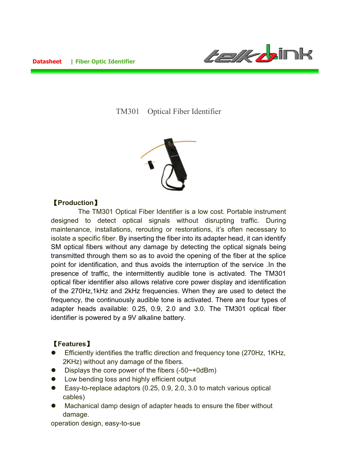

TM301 Optical Fiber Identifier



## 【**Production**】

 The TM301 Optical Fiber Identifier is a low cost. Portable instrument designed to detect optical signals without disrupting traffic. During maintenance, installations, rerouting or restorations, it's often necessary to isolate a specific fiber. By inserting the fiber into its adapter head, it can identify SM optical fibers without any damage by detecting the optical signals being transmitted through them so as to avoid the opening of the fiber at the splice point for identification, and thus avoids the interruption of the service .In the presence of traffic, the intermittently audible tone is activated. The TM301 optical fiber identifier also allows relative core power display and identification of the 270Hz,1kHz and 2kHz frequencies. When they are used to detect the frequency, the continuously audible tone is activated. There are four types of adapter heads available: 0.25, 0.9, 2.0 and 3.0. The TM301 optical fiber identifier is powered by a 9V alkaline battery.

## 【**Features**】

- Efficiently identifies the traffic direction and frequency tone (270Hz, 1KHz, 2KHz) without any damage of the fibers.
- $\bullet$  Displays the core power of the fibers (-50 $\sim$ +0dBm)
- Low bending loss and highly efficient output
- Easy-to-replace adaptors (0.25, 0.9, 2.0, 3.0 to match various optical cables)
- Machanical damp design of adapter heads to ensure the fiber without damage.

operation design, easy-to-sue